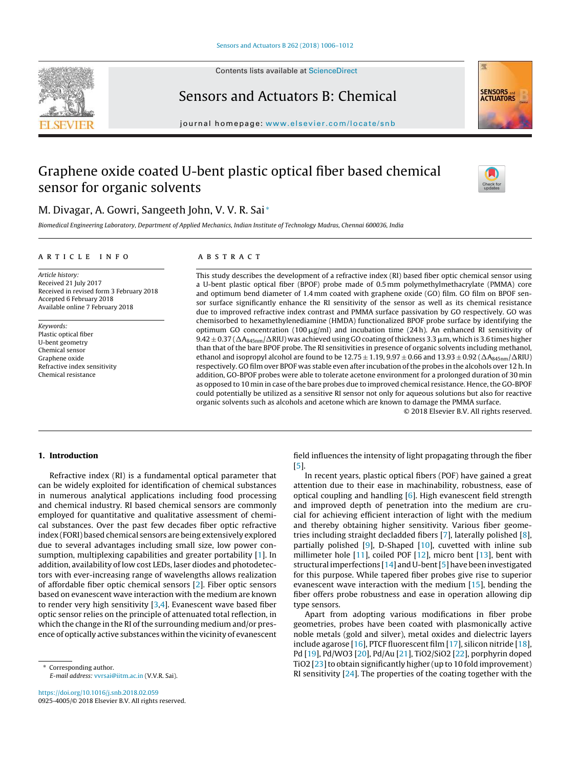Contents lists available at [ScienceDirect](http://www.sciencedirect.com/science/journal/09254005)





## Sensors and Actuators B: Chemical

journal homepage: [www.elsevier.com/locate/snb](http://www.elsevier.com/locate/snb)

# Graphene oxide coated U-bent plastic optical fiber based chemical sensor for organic solvents



## M. Divagar, A. Gowri, Sangeeth John, V. V. R. Sai <sup>∗</sup>

Biomedical Engineering Laboratory, Department of Applied Mechanics, Indian Institute of Technology Madras, Chennai 600036, India

### a r t i c l e i n f o

## A B S T R A C T

Article history: Received 21 July 2017 Received in revised form 3 February 2018 Accepted 6 February 2018 Available online 7 February 2018

Keywords: Plastic optical fiber U-bent geometry Chemical sensor Graphene oxide Refractive index sensitivity Chemical resistance

This study describes the development of a refractive index (RI) based fiber optic chemical sensor using a U-bent plastic optical fiber (BPOF) probe made of 0.5 mm polymethylmethacrylate (PMMA) core and optimum bend diameter of 1.4 mm coated with graphene oxide (GO) film. GO film on BPOF sensor surface significantly enhance the RI sensitivity of the sensor as well as its chemical resistance due to improved refractive index contrast and PMMA surface passivation by GO respectively. GO was chemisorbed to hexamethylenediamine (HMDA) functionalized BPOF probe surface by identifying the optimum GO concentration  $(100 \,\mathrm{\mu g/mol})$  and incubation time (24h). An enhanced RI sensitivity of  $9.42 \pm 0.37$  ( $\Delta$ A<sub>845nm</sub>/ $\Delta$ RIU) was achieved using GO coating of thickness 3.3  $\mu$ m, which is 3.6 times higher than that of the bare BPOF probe. The RI sensitivities in presence of organic solvents including methanol, ethanol and isopropyl alcohol are found to be  $12.75 \pm 1.19$ ,  $9.97 \pm 0.66$  and  $13.93 \pm 0.92$  ( $\Delta R_{845nm}/\Delta$ RIU) respectively. GO film over BPOF was stable even after incubation ofthe probes in the alcohols over 12 h. In addition, GO-BPOF probes were able to tolerate acetone environment for a prolonged duration of 30 min as opposed to 10 min in case of the bare probes due to improved chemical resistance. Hence, the GO-BPOF could potentially be utilized as a sensitive RI sensor not only for aqueous solutions but also for reactive organic solvents such as alcohols and acetone which are known to damage the PMMA surface.

© 2018 Elsevier B.V. All rights reserved.

## 1. Introduction

Refractive index (RI) is a fundamental optical parameter that can be widely exploited for identification of chemical substances in numerous analytical applications including food processing and chemical industry. RI based chemical sensors are commonly employed for quantitative and qualitative assessment of chemical substances. Over the past few decades fiber optic refractive index (FORI) based chemical sensors are being extensively explored due to several advantages including small size, low power consumption, multiplexing capabilities and greater portability [[1\].](#page-6-0) In addition, availability of low cost LEDs, laser diodes and photodetectors with ever-increasing range of wavelengths allows realization of affordable fiber optic chemical sensors [\[2\].](#page-6-0) Fiber optic sensors based on evanescent wave interaction with the medium are known to render very high sensitivity [[3,4\].](#page-6-0) Evanescent wave based fiber optic sensor relies on the principle of attenuated total reflection, in which the change in the RI of the surrounding medium and/or presence of optically active substances within the vicinity of evanescent

<sup>∗</sup> Corresponding author. E-mail address: [vvrsai@iitm.ac.in](mailto:vvrsai@iitm.ac.in) (V.V.R. Sai).

<https://doi.org/10.1016/j.snb.2018.02.059> 0925-4005/© 2018 Elsevier B.V. All rights reserved.

field influences the intensity of light propagating through the fiber [\[5\].](#page-6-0)

In recent years, plastic optical fibers (POF) have gained a great attention due to their ease in machinability, robustness, ease of optical coupling and handling  $[6]$ . High evanescent field strength and improved depth of penetration into the medium are crucial for achieving efficient interaction of light with the medium and thereby obtaining higher sensitivity. Various fiber geometries including straight decladded fibers [\[7\],](#page-6-0) laterally polished [\[8\],](#page-6-0) partially polished  $[9]$ , D-Shaped  $[10]$ , cuvetted with inline sub millimeter hole [\[11\],](#page-6-0) coiled POF [[12\],](#page-6-0) micro bent [[13\],](#page-6-0) bent with structural imperfections [\[14\]](#page-6-0) and U-bent[[5\]](#page-6-0) have been investigated for this purpose. While tapered fiber probes give rise to superior evanescent wave interaction with the medium [\[15\],](#page-6-0) bending the fiber offers probe robustness and ease in operation allowing dip type sensors.

Apart from adopting various modifications in fiber probe geometries, probes have been coated with plasmonically active noble metals (gold and silver), metal oxides and dielectric layers include agarose [\[16\],](#page-6-0) PTCF fluorescent film [[17\],](#page-6-0) silicon nitride [\[18\],](#page-6-0) Pd [[19\],](#page-6-0) Pd/WO3 [[20\],](#page-6-0) Pd/Au [[21\],](#page-6-0) TiO2/SiO2 [\[22\],](#page-6-0) porphyrin doped TiO2 [23] to obtain significantly higher (up to 10 fold improvement) RI sensitivity [\[24\].](#page-6-0) The properties of the coating together with the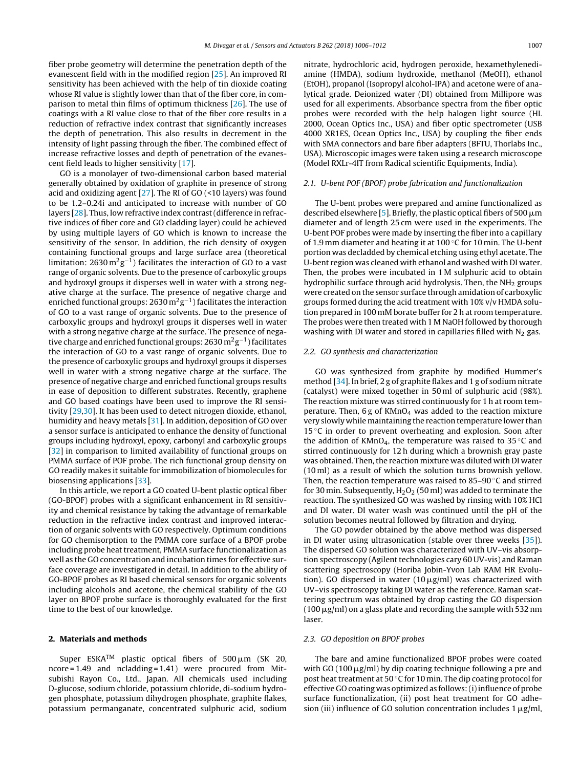fiber probe geometry will determine the penetration depth of the evanescent field with in the modified region [[25\].](#page-6-0) An improved RI sensitivity has been achieved with the help of tin dioxide coating whose RI value is slightly lower than that of the fiber core, in comparison to metal thin films of optimum thickness [[26\].](#page-6-0) The use of coatings with a RI value close to that of the fiber core results in a reduction of refractive index contrast that significantly increases the depth of penetration. This also results in decrement in the intensity of light passing through the fiber. The combined effect of increase refractive losses and depth of penetration of the evanescent field leads to higher sensitivity [\[17\].](#page-6-0)

GO is a monolayer of two-dimensional carbon based material generally obtained by oxidation of graphite in presence of strong acid and oxidizing agent [[27\].](#page-6-0) The RI of GO (<10 layers) was found to be 1.2–0.24i and anticipated to increase with number of GO layers [[28\].](#page-6-0) Thus, low refractive index contrast(difference in refractive indices of fiber core and GO cladding layer) could be achieved by using multiple layers of GO which is known to increase the sensitivity of the sensor. In addition, the rich density of oxygen containing functional groups and large surface area (theoretical limitation:  $2630 \,\mathrm{m}^2 \mathrm{g}^{-1}$ ) facilitates the interaction of GO to a vast range of organic solvents. Due to the presence of carboxylic groups and hydroxyl groups it disperses well in water with a strong negative charge at the surface. The presence of negative charge and enriched functional groups:  $2630 \,\mathrm{m}^2 \mathrm{g}^{-1}$ ) facilitates the interaction of GO to a vast range of organic solvents. Due to the presence of carboxylic groups and hydroxyl groups it disperses well in water with a strong negative charge at the surface. The presence of negative charge and enriched functional groups: 2630  $\mathrm{m^2g^{-1}}$  ) facilitates the interaction of GO to a vast range of organic solvents. Due to the presence of carboxylic groups and hydroxyl groups it disperses well in water with a strong negative charge at the surface. The presence of negative charge and enriched functional groups results in ease of deposition to different substrates. Recently, graphene and GO based coatings have been used to improve the RI sensitivity [\[29,30\].](#page-6-0) It has been used to detect nitrogen dioxide, ethanol, humidity and heavy metals [[31\].](#page-6-0) In addition, deposition of GO over a sensor surface is anticipated to enhance the density of functional groups including hydroxyl, epoxy, carbonyl and carboxylic groups [[32\]](#page-6-0) in comparison to limited availability of functional groups on PMMA surface of POF probe. The rich functional group density on GO readily makes it suitable for immobilization of biomolecules for biosensing applications [\[33\].](#page-6-0)

In this article, we report a GO coated U-bent plastic optical fiber (GO-BPOF) probes with a significant enhancement in RI sensitivity and chemical resistance by taking the advantage of remarkable reduction in the refractive index contrast and improved interaction of organic solvents with GO respectively. Optimum conditions for GO chemisorption to the PMMA core surface of a BPOF probe including probe heat treatment, PMMA surface functionalization as well as the GO concentration and incubation times for effective surface coverage are investigated in detail. In addition to the ability of GO-BPOF probes as RI based chemical sensors for organic solvents including alcohols and acetone, the chemical stability of the GO layer on BPOF probe surface is thoroughly evaluated for the first time to the best of our knowledge.

#### 2. Materials and methods

Super ESKA<sup>TM</sup> plastic optical fibers of 500  $\mu$ m (SK 20, ncore = 1.49 and ncladding = 1.41) were procured from Mitsubishi Rayon Co., Ltd., Japan. All chemicals used including D-glucose, sodium chloride, potassium chloride, di-sodium hydrogen phosphate, potassium dihydrogen phosphate, graphite flakes, potassium permanganate, concentrated sulphuric acid, sodium

nitrate, hydrochloric acid, hydrogen peroxide, hexamethylenediamine (HMDA), sodium hydroxide, methanol (MeOH), ethanol (EtOH), propanol (Isopropyl alcohol-IPA) and acetone were of analytical grade. Deionized water (DI) obtained from Millipore was used for all experiments. Absorbance spectra from the fiber optic probes were recorded with the help halogen light source (HL 2000, Ocean Optics Inc., USA) and fiber optic spectrometer (USB 4000 XR1ES, Ocean Optics Inc., USA) by coupling the fiber ends with SMA connectors and bare fiber adapters (BFTU, Thorlabs Inc., USA). Microscopic images were taken using a research microscope (Model RXLr-4IT from Radical scientific Equipments, India).

#### 2.1. U-bent POF (BPOF) probe fabrication and functionalization

The U-bent probes were prepared and amine functionalized as described elsewhere [\[5\].](#page-6-0) Briefly, the plastic optical fibers of 500  $\mu$ m diameter and of length 25 cm were used in the experiments. The U-bent POF probes were made by inserting the fiber into a capillary of 1.9 mm diameter and heating it at 100 ◦C for 10 min. The U-bent portion was decladded by chemical etching using ethyl acetate. The U-bent region was cleaned with ethanol and washed with DI water. Then, the probes were incubated in 1 M sulphuric acid to obtain hydrophilic surface through acid hydrolysis. Then, the  $NH<sub>2</sub>$  groups were created on the sensor surface through amidation of carboxylic groups formed during the acid treatment with 10% v/v HMDA solution prepared in 100 mM borate buffer for 2 h at room temperature. The probes were then treated with 1 M NaOH followed by thorough washing with DI water and stored in capillaries filled with  $N_2$  gas.

#### 2.2. GO synthesis and characterization

GO was synthesized from graphite by modified Hummer's method [[34\].](#page-6-0) In brief, 2 g of graphite flakes and 1 g of sodium nitrate (catalyst) were mixed together in 50 ml of sulphuric acid (98%). The reaction mixture was stirred continuously for 1 h at room temperature. Then,  $6g$  of KMnO<sub>4</sub> was added to the reaction mixture very slowly while maintaining the reaction temperature lower than 15  $\degree$ C in order to prevent overheating and explosion. Soon after the addition of KMnO<sub>4</sub>, the temperature was raised to 35  $\degree$ C and stirred continuously for 12 h during which a brownish gray paste was obtained. Then, the reaction mixture was diluted with DI water (10 ml) as a result of which the solution turns brownish yellow. Then, the reaction temperature was raised to 85–90 ◦C and stirred for 30 min. Subsequently,  $H_2O_2$  (50 ml) was added to terminate the reaction. The synthesized GO was washed by rinsing with 10% HCl and DI water. DI water wash was continued until the pH of the solution becomes neutral followed by filtration and drying.

The GO powder obtained by the above method was dispersed in DI water using ultrasonication (stable over three weeks [\[35\]\)](#page-6-0). The dispersed GO solution was characterized with UV–vis absorption spectroscopy (Agilent technologies cary 60 UV-vis) and Raman scattering spectroscopy (Horiba Jobin-Yvon Lab RAM HR Evolution). GO dispersed in water  $(10 \,\mu g/ml)$  was characterized with UV–vis spectroscopy taking DI water as the reference. Raman scattering spectrum was obtained by drop casting the GO dispersion (100  $\mu$ g/ml) on a glass plate and recording the sample with 532 nm laser.

#### 2.3. GO deposition on BPOF probes

The bare and amine functionalized BPOF probes were coated with GO (100  $\mu$ g/ml) by dip coating technique following a pre and post heat treatment at 50 ℃ for 10 min. The dip coating protocol for effective GO coating was optimized as follows: (i) influence of probe surface functionalization, (ii) post heat treatment for GO adhesion (iii) influence of GO solution concentration includes  $1 \mu g/ml$ ,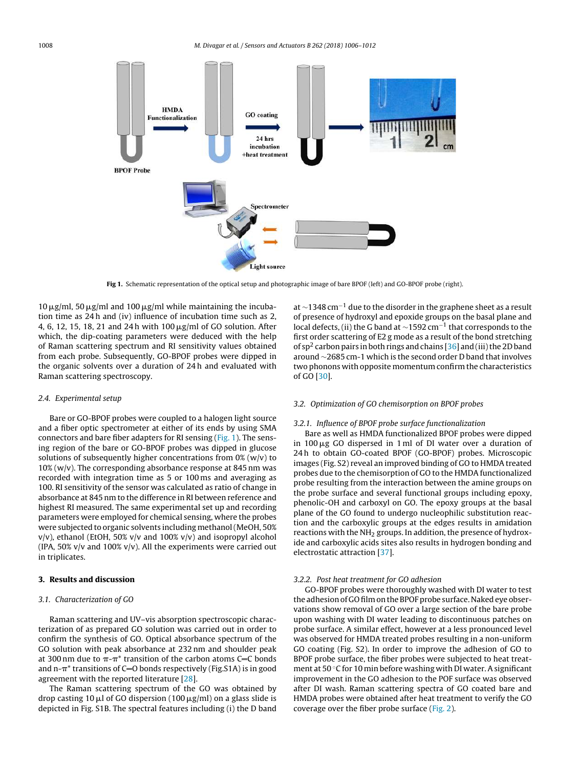1008 M. Divagar et al. / Sensors and Actuators B 262 (2018) 1006–1012



Fig 1. Schematic representation of the optical setup and photographic image of bare BPOF (left) and GO-BPOF probe (right).

 $10 \,\mu$ g/ml, 50  $\mu$ g/ml and 100  $\mu$ g/ml while maintaining the incubation time as 24 h and (iv) influence of incubation time such as 2, 4, 6, 12, 15, 18, 21 and 24 h with 100  $\mu$ g/ml of GO solution. After which, the dip-coating parameters were deduced with the help of Raman scattering spectrum and RI sensitivity values obtained from each probe. Subsequently, GO-BPOF probes were dipped in the organic solvents over a duration of 24 h and evaluated with Raman scattering spectroscopy.

#### 2.4. Experimental setup

Bare or GO-BPOF probes were coupled to a halogen light source and a fiber optic spectrometer at either of its ends by using SMA connectors and bare fiber adapters for RI sensing (Fig. 1). The sensing region of the bare or GO-BPOF probes was dipped in glucose solutions of subsequently higher concentrations from  $0\%$  (w/v) to  $10\%$  (w/v). The corresponding absorbance response at 845 nm was recorded with integration time as 5 or 100 ms and averaging as 100. RI sensitivity of the sensor was calculated as ratio of change in absorbance at 845 nm to the difference in RI between reference and highest RI measured. The same experimental set up and recording parameters were employed for chemical sensing, where the probes were subjected to organic solvents including methanol(MeOH, 50%  $v/v$ ), ethanol (EtOH, 50%  $v/v$  and 100%  $v/v$ ) and isopropyl alcohol (IPA, 50% v/v and 100% v/v). All the experiments were carried out in triplicates.

## 3. Results and discussion

## 3.1. Characterization of GO

Raman scattering and UV–vis absorption spectroscopic characterization of as prepared GO solution was carried out in order to confirm the synthesis of GO. Optical absorbance spectrum of the GO solution with peak absorbance at 232 nm and shoulder peak at 300 nm due to  $\pi$ - $\pi$ <sup>\*</sup> transition of the carbon atoms C=C bonds and n- $\pi^*$  transitions of C=O bonds respectively (Fig.S1A) is in good agreement with the reported literature [[28\].](#page-6-0)

The Raman scattering spectrum of the GO was obtained by drop casting 10  $\mu$ l of GO dispersion (100  $\mu$ g/ml) on a glass slide is depicted in Fig. S1B. The spectral features including (i) the D band at ∼1348 cm−<sup>1</sup> due to the disorder in the graphene sheet as a result of presence of hydroxyl and epoxide groups on the basal plane and local defects, (ii) the G band at ~1592 cm<sup>-1</sup> that corresponds to the first order scattering of E2 g mode as a result of the bond stretching of sp<sup>2</sup> carbon pairs in both rings and chains  $[36]$  $[36]$  and (iii) the 2D band around ∼2685 cm-1 which is the second order D band that involves two phonons with opposite momentum confirm the characteristics of GO [[30\].](#page-6-0)

#### 3.2. Optimization of GO chemisorption on BPOF probes

#### 3.2.1. Influence of BPOF probe surface functionalization

Bare as well as HMDA functionalized BPOF probes were dipped in 100 µg GO dispersed in 1 ml of DI water over a duration of 24 h to obtain GO-coated BPOF (GO-BPOF) probes. Microscopic images (Fig. S2) reveal an improved binding of GO to HMDA treated probes due to the chemisorption of GO to the HMDA functionalized probe resulting from the interaction between the amine groups on the probe surface and several functional groups including epoxy, phenolic-OH and carboxyl on GO. The epoxy groups at the basal plane of the GO found to undergo nucleophilic substitution reaction and the carboxylic groups at the edges results in amidation reactions with the NH<sub>2</sub> groups. In addition, the presence of hydroxide and carboxylic acids sites also results in hydrogen bonding and electrostatic attraction [[37\].](#page-6-0)

#### 3.2.2. Post heat treatment for GO adhesion

GO-BPOF probes were thoroughly washed with DI water to test the adhesion of GO film on the BPOF probe surface. Naked eye observations show removal of GO over a large section of the bare probe upon washing with DI water leading to discontinuous patches on probe surface. A similar effect, however at a less pronounced level was observed for HMDA treated probes resulting in a non-uniform GO coating (Fig. S2). In order to improve the adhesion of GO to BPOF probe surface, the fiber probes were subjected to heat treatment at 50 ◦C for 10 min before washing with DI water. A significant improvement in the GO adhesion to the POF surface was observed after DI wash. Raman scattering spectra of GO coated bare and HMDA probes were obtained after heat treatment to verify the GO coverage over the fiber probe surface ([Fig.](#page-3-0) 2).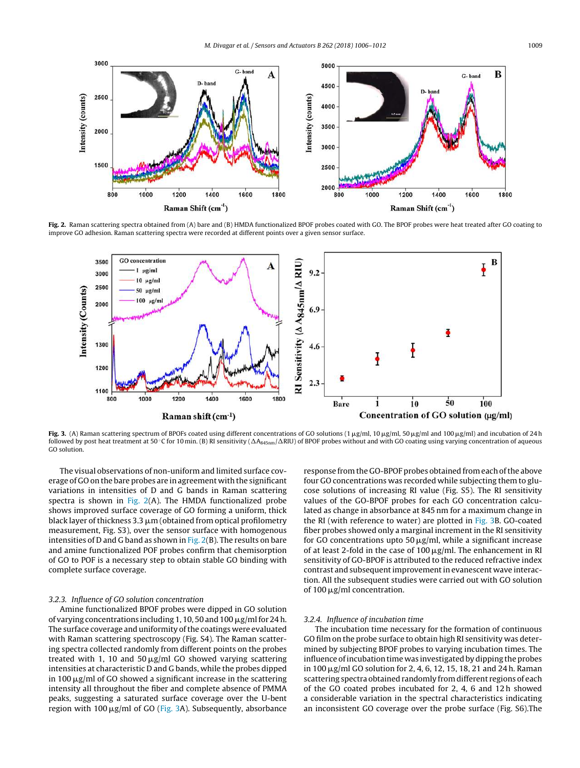<span id="page-3-0"></span>

Fig. 2. Raman scattering spectra obtained from (A) bare and (B) HMDA functionalized BPOF probes coated with GO. The BPOF probes were heat treated after GO coating to improve GO adhesion. Raman scattering spectra were recorded at different points over a given sensor surface.



**Fig. 3.** (A) Raman scattering spectrum of BPOFs coated using different concentrations of GO solutions (1  $\mu$ g/ml, 10  $\mu$ g/ml, 50  $\mu$ g/ml and 100  $\mu$ g/ml) and incubation of 24 h followed by post heat treatment at 50 °C for 10 min. (B) RI sensitivity ( $\Delta A_{845\text{nm}}/\Delta \text{RIU}$ ) of BPOF probes without and with GO coating using varying concentration of aqueous GO solution.

The visual observations of non-uniform and limited surface coverage of GO on the bare probes are in agreement with the significant variations in intensities of D and G bands in Raman scattering spectra is shown in Fig.  $2(A)$ . The HMDA functionalized probe shows improved surface coverage of GO forming a uniform, thick black layer of thickness 3.3  $\rm \mu m$  (obtained from optical profilometry measurement, Fig. S3), over the sensor surface with homogenous intensities of D and G band as shown in Fig.  $2(B)$ . The results on bare and amine functionalized POF probes confirm that chemisorption of GO to POF is a necessary step to obtain stable GO binding with complete surface coverage.

#### 3.2.3. Influence of GO solution concentration

Amine functionalized BPOF probes were dipped in GO solution of varying concentrations including 1, 10, 50 and 100  $\mu$ g/ml for 24 h. The surface coverage and uniformity of the coatings were evaluated with Raman scattering spectroscopy (Fig. S4). The Raman scattering spectra collected randomly from different points on the probes treated with 1, 10 and 50  $\mu$ g/ml GO showed varying scattering intensities at characteristic D and G bands, while the probes dipped in 100  $\mu$ g/ml of GO showed a significant increase in the scattering intensity all throughout the fiber and complete absence of PMMA peaks, suggesting a saturated surface coverage over the U-bent region with 100 µg/ml of GO (Fig. 3A). Subsequently, absorbance

response from the GO-BPOF probes obtained from each of the above four GO concentrations was recorded while subjecting them to glucose solutions of increasing RI value (Fig. S5). The RI sensitivity values of the GO-BPOF probes for each GO concentration calculated as change in absorbance at 845 nm for a maximum change in the RI (with reference to water) are plotted in Fig. 3B. GO-coated fiber probes showed only a marginal increment in the RI sensitivity for GO concentrations upto 50  $\mu$ g/ml, while a significant increase of at least 2-fold in the case of  $100 \,\mathrm{\mu g/mL}$ . The enhancement in RI sensitivity of GO-BPOF is attributed to the reduced refractive index contrast and subsequentimprovementin evanescent wave interaction. All the subsequent studies were carried out with GO solution of 100  $\mu$ g/ml concentration.

#### 3.2.4. Influence of incubation time

The incubation time necessary for the formation of continuous GO film on the probe surface to obtain high RI sensitivity was determined by subjecting BPOF probes to varying incubation times. The influence of incubation time was investigated by dipping the probes in 100 μg/ml GO solution for 2, 4, 6, 12, 15, 18, 21 and 24 h. Raman scattering spectra obtained randomly fromdifferent regions of each of the GO coated probes incubated for 2, 4, 6 and 12 h showed a considerable variation in the spectral characteristics indicating an inconsistent GO coverage over the probe surface (Fig. S6).The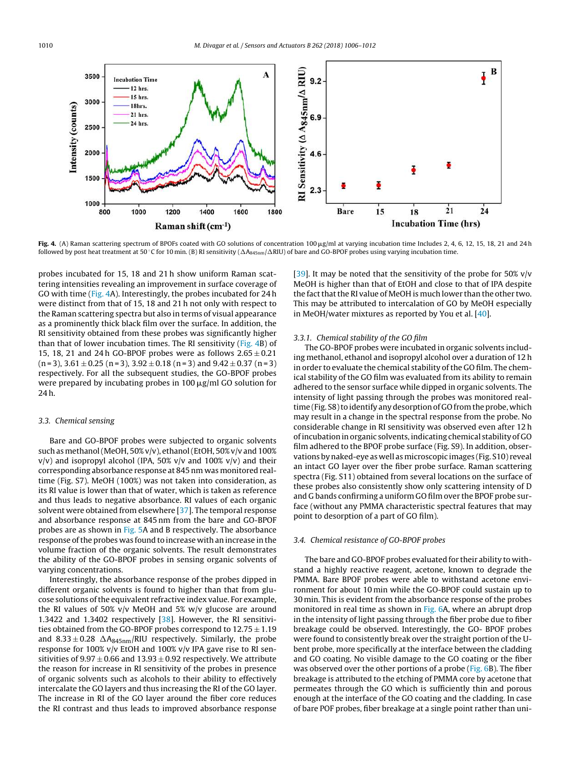

**Fig. 4.** (A) Raman scattering spectrum of BPOFs coated with GO solutions of concentration 100 µg/ml at varying incubation time Includes 2, 4, 6, 12, 15, 18, 21 and 24 h followed by post heat treatment at 50 °C for 10 min. (B) RI sensitivity ( $\Delta A_{845nm}/\Delta$ RIU) of bare and GO-BPOF probes using varying incubation time.

probes incubated for 15, 18 and 21 h show uniform Raman scattering intensities revealing an improvement in surface coverage of GO with time (Fig. 4A). Interestingly, the probes incubated for 24 h were distinct from that of 15, 18 and 21 h not only with respect to the Raman scattering spectra but also in terms of visual appearance as a prominently thick black film over the surface. In addition, the RI sensitivity obtained from these probes was significantly higher than that of lower incubation times. The RI sensitivity (Fig. 4B) of 15, 18, 21 and 24h GO-BPOF probes were as follows  $2.65 \pm 0.21$  $(n=3)$ ,  $3.61 \pm 0.25$   $(n=3)$ ,  $3.92 \pm 0.18$   $(n=3)$  and  $9.42 \pm 0.37$   $(n=3)$ respectively. For all the subsequent studies, the GO-BPOF probes were prepared by incubating probes in 100  $\mu$ g/ml GO solution for 24 h.

#### 3.3. Chemical sensing

Bare and GO-BPOF probes were subjected to organic solvents such as methanol (MeOH, 50% v/v), ethanol (EtOH, 50% v/v and 100%  $v/v$ ) and isopropyl alcohol (IPA, 50%  $v/v$  and 100%  $v/v$ ) and their corresponding absorbance response at 845 nm was monitored realtime (Fig. S7). MeOH (100%) was not taken into consideration, as its RI value is lower than that of water, which is taken as reference and thus leads to negative absorbance. RI values of each organic solvent were obtained from elsewhere [\[37\].](#page-6-0) The temporal response and absorbance response at 845 nm from the bare and GO-BPOF probes are as shown in [Fig.](#page-5-0) 5A and B respectively. The absorbance response of the probes was found to increase with an increase in the volume fraction of the organic solvents. The result demonstrates the ability of the GO-BPOF probes in sensing organic solvents of varying concentrations.

Interestingly, the absorbance response of the probes dipped in different organic solvents is found to higher than that from glucose solutions of the equivalent refractive index value. For example, the RI values of 50% v/v MeOH and 5% w/v glucose are around 1.3422 and 1.3402 respectively [\[38\].](#page-6-0) However, the RI sensitivities obtained from the GO-BPOF probes correspond to  $12.75 \pm 1.19$ and  $8.33 \pm 0.28$   $\Delta A_{845nm}$ /RIU respectively. Similarly, the probe response for 100% v/v EtOH and 100% v/v IPA gave rise to RI sensitivities of  $9.97 \pm 0.66$  and  $13.93 \pm 0.92$  respectively. We attribute the reason for increase in RI sensitivity of the probes in presence of organic solvents such as alcohols to their ability to effectively intercalate the GO layers and thus increasing the RI of the GO layer. The increase in RI of the GO layer around the fiber core reduces the RI contrast and thus leads to improved absorbance response

[\[39\].](#page-6-0) It may be noted that the sensitivity of the probe for 50% v/v MeOH is higher than that of EtOH and close to that of IPA despite the fact that the RI value of MeOH is much lower than the other two. This may be attributed to intercalation of GO by MeOH especially in MeOH/water mixtures as reported by You et al. [[40\].](#page-6-0)

#### 3.3.1. Chemical stability of the GO film

The GO-BPOF probes were incubated in organic solvents including methanol, ethanol and isopropyl alcohol over a duration of 12 h in order to evaluate the chemical stability of the GO film. The chemical stability of the GO film was evaluated from its ability to remain adhered to the sensor surface while dipped in organic solvents. The intensity of light passing through the probes was monitored realtime (Fig. S8) to identify any desorption of GO from the probe, which may result in a change in the spectral response from the probe. No considerable change in RI sensitivity was observed even after 12 h ofincubationinorganic solvents,indicating chemical stability of GO film adhered to the BPOF probe surface (Fig. S9). In addition, observations by naked-eye as well as microscopic images (Fig. S10) reveal an intact GO layer over the fiber probe surface. Raman scattering spectra (Fig. S11) obtained from several locations on the surface of these probes also consistently show only scattering intensity of D and G bands confirming a uniform GO film over the BPOF probe surface (without any PMMA characteristic spectral features that may point to desorption of a part of GO film).

### 3.4. Chemical resistance of GO-BPOF probes

The bare and GO-BPOF probes evaluated for their ability to withstand a highly reactive reagent, acetone, known to degrade the PMMA. Bare BPOF probes were able to withstand acetone environment for about 10 min while the GO-BPOF could sustain up to 30 min. This is evident from the absorbance response of the probes monitored in real time as shown in [Fig.](#page-5-0) 6A, where an abrupt drop in the intensity of light passing through the fiber probe due to fiber breakage could be observed. Interestingly, the GO- BPOF probes were found to consistently break over the straight portion of the Ubent probe, more specifically at the interface between the cladding and GO coating. No visible damage to the GO coating or the fiber was observed over the other portions of a probe ([Fig.](#page-5-0) 6B). The fiber breakage is attributed to the etching of PMMA core by acetone that permeates through the GO which is sufficiently thin and porous enough at the interface of the GO coating and the cladding. In case of bare POF probes, fiber breakage at a single point rather than uni-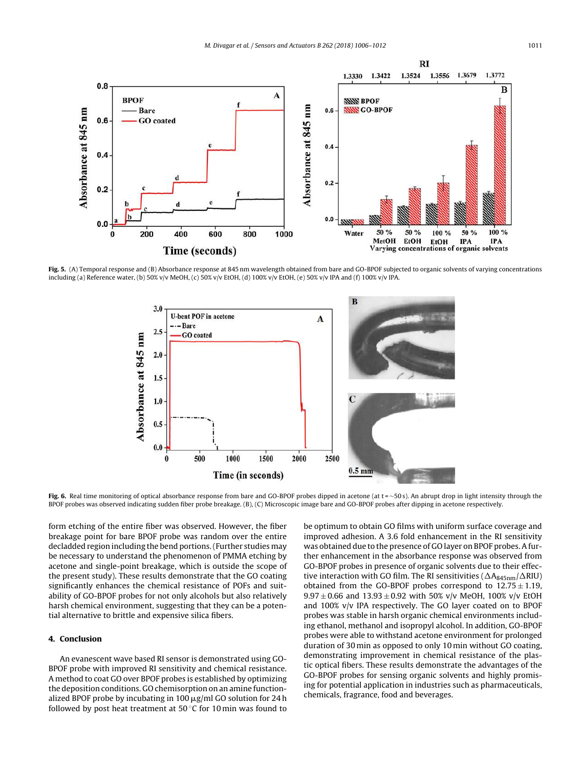<span id="page-5-0"></span>

Fig. 5. (A) Temporal response and (B) Absorbance response at 845 nm wavelength obtained from bare and GO-BPOF subjected to organic solvents of varying concentrations including (a) Reference water, (b) 50% v/v MeOH, (c) 50% v/v EtOH, (d) 100% v/v EtOH, (e) 50% v/v IPA and (f) 100% v/v IPA.



Fig. 6. Real time monitoring of optical absorbance response from bare and GO-BPOF probes dipped in acetone (at t = ~50 s). An abrupt drop in light intensity through the BPOF probes was observed indicating sudden fiber probe breakage. (B), (C) Microscopic image bare and GO-BPOF probes after dipping in acetone respectively.

form etching of the entire fiber was observed. However, the fiber breakage point for bare BPOF probe was random over the entire decladded region including the bend portions.(Further studies may be necessary to understand the phenomenon of PMMA etching by acetone and single-point breakage, which is outside the scope of the present study). These results demonstrate that the GO coating significantly enhances the chemical resistance of POFs and suitability of GO-BPOF probes for not only alcohols but also relatively harsh chemical environment, suggesting that they can be a potential alternative to brittle and expensive silica fibers.

## 4. Conclusion

An evanescent wave based RI sensor is demonstrated using GO-BPOF probe with improved RI sensitivity and chemical resistance. A method to coat GO over BPOF probes is established by optimizing the deposition conditions. GO chemisorption on an amine functionalized BPOF probe by incubating in 100  $\mu$ g/ml GO solution for 24 h followed by post heat treatment at  $50^{\circ}$ C for 10 min was found to

be optimum to obtain GO films with uniform surface coverage and improved adhesion. A 3.6 fold enhancement in the RI sensitivity was obtained due to the presence of GO layer on BPOF probes. A further enhancement in the absorbance response was observed from GO-BPOF probes in presence of organic solvents due to their effective interaction with GO film. The RI sensitivities ( $\Delta A_{845nm}/\Delta$ RIU) obtained from the GO-BPOF probes correspond to  $12.75 \pm 1.19$ ,  $9.97 \pm 0.66$  and  $13.93 \pm 0.92$  with 50% v/v MeOH, 100% v/v EtOH and 100% v/v IPA respectively. The GO layer coated on to BPOF probes was stable in harsh organic chemical environments including ethanol, methanol and isopropyl alcohol. In addition, GO-BPOF probes were able to withstand acetone environment for prolonged duration of 30 min as opposed to only 10 min without GO coating, demonstrating improvement in chemical resistance of the plastic optical fibers. These results demonstrate the advantages of the GO-BPOF probes for sensing organic solvents and highly promising for potential application in industries such as pharmaceuticals, chemicals, fragrance, food and beverages.